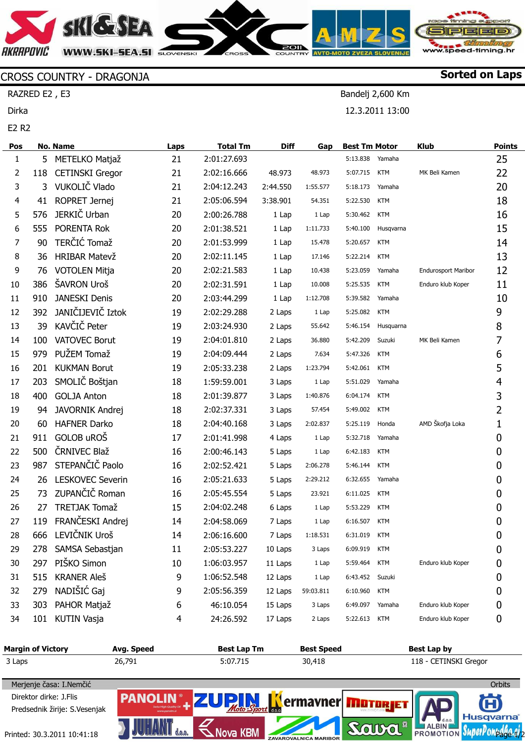**SHGSEA AKRAPOVIC** www.speed-timing.hr **WWW.SKI-SEA.SI** SLOVENSKI

Sorted on Laps

Bandelj 2,600 Km 12.3.2011 13:00

## CROSS COUNTRY - DRAGONJA

RAZRED E2 , E3

Dirka

E2 R2

| Pos |     | No. Name                | Laps | <b>Total Tm</b> | <b>Diff</b> | Gap             | <b>Best Tm Motor</b> |            | <b>Klub</b>                | <b>Points</b>  |
|-----|-----|-------------------------|------|-----------------|-------------|-----------------|----------------------|------------|----------------------------|----------------|
| 1   |     | 5 METELKO Matjaž        | 21   | 2:01:27.693     |             |                 | 5:13.838             | Yamaha     |                            | 25             |
| 2   | 118 | <b>CETINSKI Gregor</b>  | 21   | 2:02:16.666     | 48.973      | 48.973          | 5:07.715             | <b>KTM</b> | MK Beli Kamen              | 22             |
| 3   | 3   | VUKOLIČ Vlado           | 21   | 2:04:12.243     | 2:44.550    | 1:55.577        | 5:18.173             | Yamaha     |                            | 20             |
| 4   | 41  | ROPRET Jernej           | 21   | 2:05:06.594     | 3:38.901    | 54.351          | 5:22.530             | <b>KTM</b> |                            | 18             |
| 5   | 576 | JERKIČ Urban            | 20   | 2:00:26.788     | 1 Lap       | 1 Lap           | 5:30.462             | <b>KTM</b> |                            | 16             |
| 6   | 555 | PORENTA Rok             | 20   | 2:01:38.521     | 1 Lap       | 1:11.733        | 5:40.100             | Husqvarna  |                            | 15             |
| 7   | 90  | TERČIĆ Tomaž            | 20   | 2:01:53.999     | 1 Lap       | 15.478          | 5:20.657             | <b>KTM</b> |                            | 14             |
| 8   | 36  | <b>HRIBAR Matevž</b>    | 20   | 2:02:11.145     | 1 Lap       | 17.146          | 5:22.214             | <b>KTM</b> |                            | 13             |
| 9   | 76  | <b>VOTOLEN Mitja</b>    | 20   | 2:02:21.583     | 1 Lap       | 10.438          | 5:23.059             | Yamaha     | <b>Endurosport Maribor</b> | 12             |
| 10  | 386 | ŠAVRON Uroš             | 20   | 2:02:31.591     | 1 Lap       | 10.008          | 5:25.535             | <b>KTM</b> | Enduro klub Koper          | 11             |
| 11  | 910 | <b>JANESKI Denis</b>    | 20   | 2:03:44.299     | 1 Lap       | 1:12.708        | 5:39.582             | Yamaha     |                            | 10             |
| 12  | 392 | JANIČIJEVIČ Iztok       | 19   | 2:02:29.288     | 2 Laps      | 1 Lap           | 5:25.082             | <b>KTM</b> |                            | 9              |
| 13  | 39  | KAVČIČ Peter            | 19   | 2:03:24.930     | 2 Laps      | 55.642          | 5:46.154             | Husquarna  |                            | 8              |
| 14  | 100 | <b>VATOVEC Borut</b>    | 19   | 2:04:01.810     | 2 Laps      | 36.880          | 5:42.209             | Suzuki     | MK Beli Kamen              | 7              |
| 15  | 979 | PUŽEM Tomaž             | 19   | 2:04:09.444     | 2 Laps      | 7.634           | 5:47.326             | <b>KTM</b> |                            | 6              |
| 16  | 201 | <b>KUKMAN Borut</b>     | 19   | 2:05:33.238     | 2 Laps      | 1:23.794        | 5:42.061             | <b>KTM</b> |                            | 5              |
| 17  | 203 | SMOLIČ Boštjan          | 18   | 1:59:59.001     | 3 Laps      | 1 Lap           | 5:51.029             | Yamaha     |                            | $\overline{4}$ |
| 18  | 400 | <b>GOLJA Anton</b>      | 18   | 2:01:39.877     | 3 Laps      | 1:40.876        | 6:04.174             | <b>KTM</b> |                            | 3              |
| 19  | 94  | JAVORNIK Andrej         | 18   | 2:02:37.331     | 3 Laps      | 57.454          | 5:49.002             | <b>KTM</b> |                            | $\overline{2}$ |
| 20  | 60  | <b>HAFNER Darko</b>     | 18   | 2:04:40.168     | 3 Laps      | 2:02.837        | 5:25.119             | Honda      | AMD Škofja Loka            | $\mathbf 1$    |
| 21  | 911 | GOLOB uROŠ              | 17   | 2:01:41.998     | 4 Laps      | 1 Lap           | 5:32.718             | Yamaha     |                            | 0              |
| 22  | 500 | ČRNIVEC Blaž            | 16   | 2:00:46.143     | 5 Laps      | 1 Lap           | 6:42.183             | <b>KTM</b> |                            | 0              |
| 23  | 987 | STEPANČIČ Paolo         | 16   | 2:02:52.421     | 5 Laps      | 2:06.278        | 5:46.144             | <b>KTM</b> |                            | 0              |
| 24  | 26  | <b>LESKOVEC Severin</b> | 16   | 2:05:21.633     | 5 Laps      | 2:29.212        | 6:32.655             | Yamaha     |                            | 0              |
| 25  | 73  | ZUPANČIČ Roman          | 16   | 2:05:45.554     | 5 Laps      | 23.921          | 6:11.025             | <b>KTM</b> |                            | 0              |
| 26  | 27  | <b>TRETJAK Tomaž</b>    | 15   | 2:04:02.248     | 6 Laps      | 1 Lap           | 5:53.229             | <b>KTM</b> |                            | 0              |
| 27  | 119 | FRANČESKI Andrej        | 14   | 2:04:58.069     | 7 Laps      | 1 Lap           | 6:16.507             | <b>KTM</b> |                            | 0              |
| 28  |     | 666 LEVIČNIK Uroš       | 14   | 2:06:16.600     |             | 7 Laps 1:18.531 | 6:31.019 KTM         |            |                            | 0              |
| 29  | 278 | SAMSA Sebastjan         | 11   | 2:05:53.227     | 10 Laps     | 3 Laps          | 6:09.919             | KTM        |                            | 0              |
| 30  | 297 | PIŠKO Simon             | 10   | 1:06:03.957     | 11 Laps     | 1 Lap           | 5:59.464             | <b>KTM</b> | Enduro klub Koper          | 0              |
| 31  | 515 | <b>KRANER Aleš</b>      | 9    | 1:06:52.548     | 12 Laps     | 1 Lap           | 6:43.452             | Suzuki     |                            | 0              |
| 32  | 279 | NADIŠIĆ Gaj             | 9    | 2:05:56.359     | 12 Laps     | 59:03.811       | 6:10.960             | <b>KTM</b> |                            | 0              |
| 33  | 303 | PAHOR Matjaž            | 6    | 46:10.054       | 15 Laps     | 3 Laps          | 6:49.097             | Yamaha     | Enduro klub Koper          | 0              |
| 34  | 101 | <b>KUTIN Vasja</b>      | 4    | 24:26.592       | 17 Laps     | 2 Laps          | 5:22.613             | <b>KTM</b> | Enduro klub Koper          | 0              |